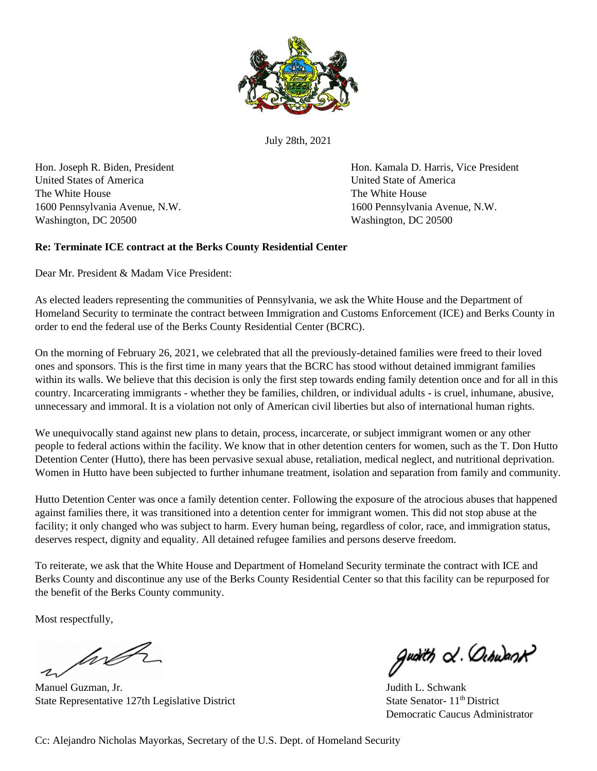

July 28th, 2021

United States of America United State of America The White House The White House The White House Washington, DC 20500 Washington, DC 20500

Hon. Joseph R. Biden, President Hon. Kamala D. Harris, Vice President 1600 Pennsylvania Avenue, N.W. 1600 Pennsylvania Avenue, N.W.

## **Re: Terminate ICE contract at the Berks County Residential Center**

Dear Mr. President & Madam Vice President:

As elected leaders representing the communities of Pennsylvania, we ask the White House and the Department of Homeland Security to terminate the contract between Immigration and Customs Enforcement (ICE) and Berks County in order to end the federal use of the Berks County Residential Center (BCRC).

On the morning of February 26, 2021, we celebrated that all the previously-detained families were freed to their loved ones and sponsors. This is the first time in many years that the BCRC has stood without detained immigrant families within its walls. We believe that this decision is only the first step towards ending family detention once and for all in this country. Incarcerating immigrants - whether they be families, children, or individual adults - is cruel, inhumane, abusive, unnecessary and immoral. It is a violation not only of American civil liberties but also of international human rights.

We unequivocally stand against new plans to detain, process, incarcerate, or subject immigrant women or any other people to federal actions within the facility. We know that in other detention centers for women, such as the T. Don Hutto Detention Center (Hutto), there has been pervasive sexual abuse, retaliation, medical neglect, and nutritional deprivation. Women in Hutto have been subjected to further inhumane treatment, isolation and separation from family and community.

Hutto Detention Center was once a family detention center. Following the exposure of the atrocious abuses that happened against families there, it was transitioned into a detention center for immigrant women. This did not stop abuse at the facility; it only changed who was subject to harm. Every human being, regardless of color, race, and immigration status, deserves respect, dignity and equality. All detained refugee families and persons deserve freedom.

To reiterate, we ask that the White House and Department of Homeland Security terminate the contract with ICE and Berks County and discontinue any use of the Berks County Residential Center so that this facility can be repurposed for the benefit of the Berks County community.

Most respectfully,

wh

Manuel Guzman, Jr. (2002) 2003 2004 12:30 Manuel Guzman, Jr. (2003) 2004 12:30 Manuel Guzman, Jr. (2004) 2004 12:30 Manuel Guzman, Jr. (2004) 2005 2006 2007 2008 2007 2008 2007 2008 2007 2008 2007 2008 2007 2008 2007 2008 State Representative 127th Legislative District State Senator- 11<sup>th</sup> District

guàith & Ochwast

Democratic Caucus Administrator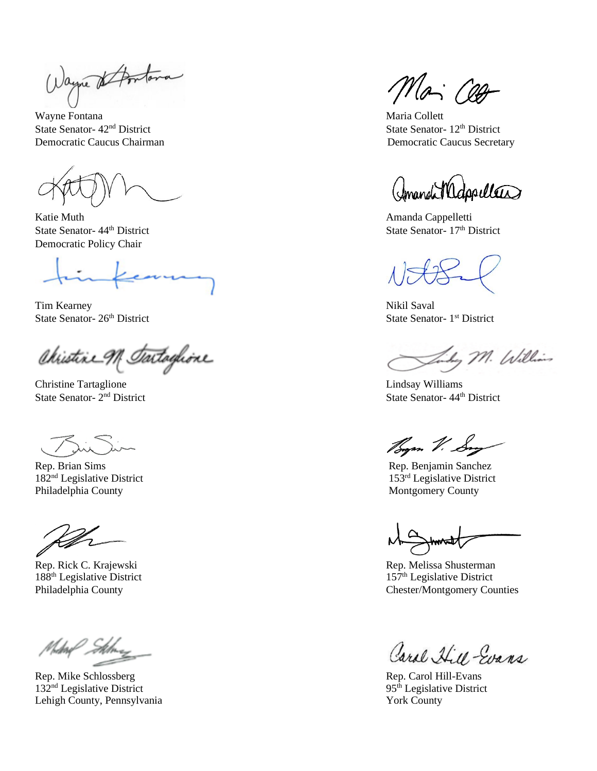Wayne & Antona

Wayne Fontana Maria Collett State Senator-  $42<sup>nd</sup>$  District State Senator-  $12<sup>th</sup>$  District Democratic Caucus Chairman Democratic Caucus Secretary

Katie Muth **Amanda Cappelletti** Democratic Policy Chair

comma

Tim Kearney Nikil Saval State Senator- 26<sup>th</sup> District

Christine M. Tartaglione

Christine Tartaglione Lindsay Williams State Senator- 2<sup>nd</sup> District

Rep. Brian Sims Rep. Benjamin Sanchez Philadelphia County **Montgomery County** Montgomery County

Rep. Mike Schlossberg Rep. Carol Hill-Evans  $132<sup>nd</sup>$  Legislative District 95<sup>th</sup> Legislative District Lehigh County, Pennsylvania York County

Mai Cett

(Imandi Medapullers)

State Senator-  $44<sup>th</sup>$  District State Senator-  $17<sup>th</sup>$  District

State Senator- 1<sup>st</sup> District

Say M. Williams

State Senator- 44<sup>th</sup> District

Bym V. Sny

182<sup>nd</sup> Legislative District 153<sup>rd</sup> Legislative District 153<sup>rd</sup> Legislative District

Rep. Rick C. Krajewski **Rep. Alice C. Krajewski** Rep. Melissa Shusterman 188<sup>th</sup> Legislative District 157<sup>th</sup> Legislative District Philadelphia County Counties<br>
Chester/Montgomery Counties

Carol Hill Evans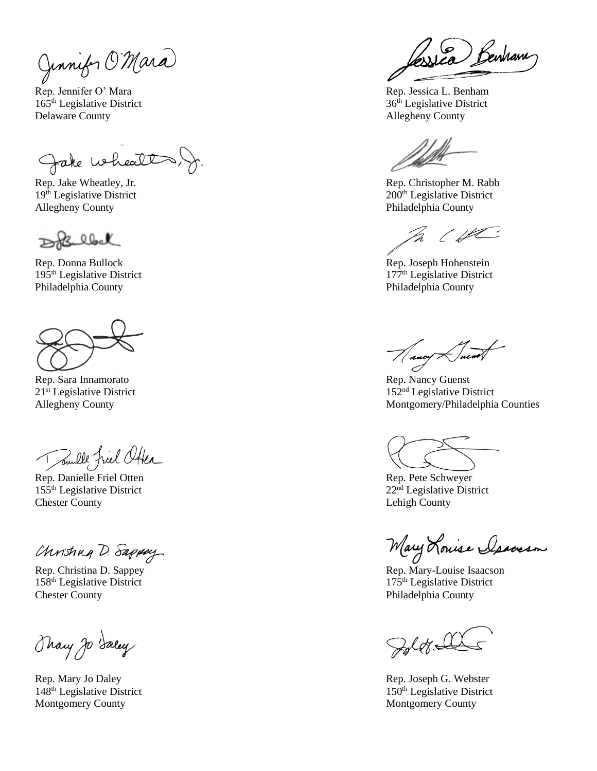Junnifor O'Mara

Rep. Jennifer O' Mara Rep. Jessica L. Benham 165<sup>th</sup> Legislative District 36<sup>th</sup> Legislative District Delaware County and the county of the county of the county of the county of the county of the county of the county of the county of the county of the county of the county of the county of the county of the county of the co

Jake whealt,

Allegheny County **Philadelphia County** Philadelphia County

DoBulbel

Rep. Donna Bullock Rep. Joseph Hohenstein Philadelphia County Philadelphia County

Rep. Sara Innamorato Rep. Nancy Guenst

Toule friel Otter

Rep. Danielle Friel Otten Rep. Pete Schweyer  $155<sup>th</sup>$  Legislative District 22<sup>nd</sup> Legislative District Chester County Lehigh County Lehigh County

Christing D. Sappay

158<sup>th</sup> Legislative District 175<sup>th</sup> Legislative District Chester County Philadelphia County

Thany Jo Saley

Montgomery County **Montgomery County** Montgomery County

sica Benham

Rep. Jake Wheatley, Jr.  $\qquad \qquad$  Rep. Christopher M. Rabb  $19<sup>th</sup>$  Legislative District 200<sup>th</sup> Legislative District

In (HC

 $195<sup>th</sup>$  Legislative District 177<sup>th</sup> Legislative District

 $21<sup>st</sup>$  Legislative District  $152<sup>nd</sup>$  Legislative District Allegheny County **Montgomery/Philadelphia Counties** Montgomery/Philadelphia Counties

Mary Louise Isaccson

Rep. Christina D. Sappey **Rep. Accessible Islands** Rep. Mary-Louise Isaacson

 $\mathcal{G}_{\mathcal{A}}(q)$ 

Rep. Mary Jo Daley Rep. Joseph G. Webster  $148<sup>th</sup>$  Legislative District 150<sup>th</sup> Legislative District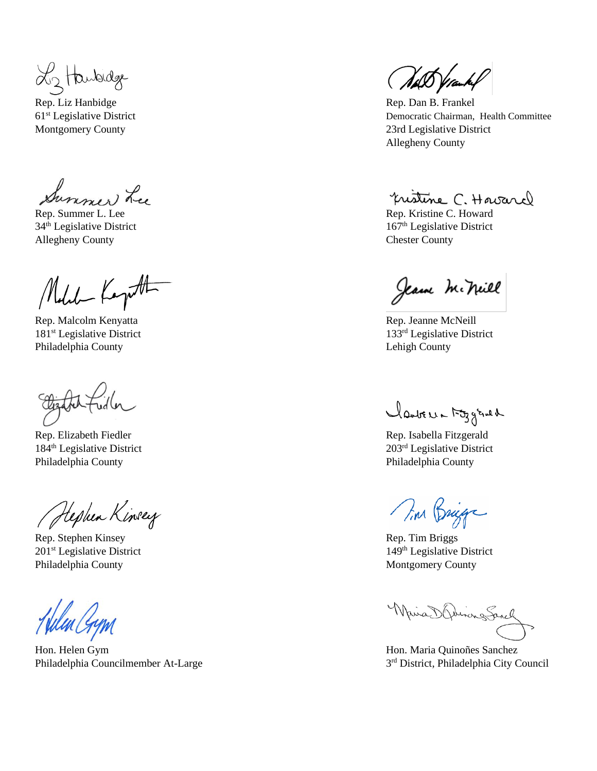L2 Hanbidge

Rep. Liz Hanbidge **Rep. Dan B. Frankel** 

Summer Lee

Allegheny County Chester County

Melet Kapt

Rep. Malcolm Kenyatta Rep. Jeanne McNeill 181<sup>st</sup> Legislative District 133<sup>rd</sup> Legislative District Philadelphia County Lehigh County

Rep. Elizabeth Fiedler Rep. Isabella Fitzgerald Philadelphia County Philadelphia County

Hephen Kinsey

Rep. Stephen Kinsey Rep. Tim Briggs 201<sup>st</sup> Legislative District 149<sup>th</sup> Legislative District Philadelphia County **Montgomery County** Montgomery County

Hon. Helen Gym Hon. Maria Quinoñes Sanchez Philadelphia Councilmember At-Large 3

(WAS Vramkel

61st Legislative District Democratic Chairman, Health Committee Montgomery County 23rd Legislative District Allegheny County

pristine C. Havard

Rep. Summer L. Lee Rep. Kristine C. Howard  $34<sup>th</sup>$  Legislative District  $167<sup>th</sup>$  Legislative District

Jeane Mckill

Mantre 1-53 grad

184<sup>th</sup> Legislative District 203<sup>rd</sup> Legislative District

Tim Briga

Whis Obiong Sanch

3<sup>rd</sup> District, Philadelphia City Council